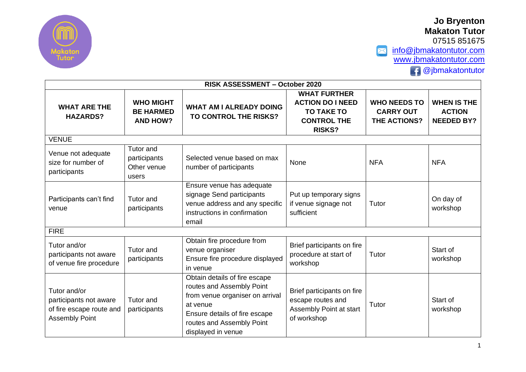

07515 851675

 $\triangleright$ [info@jbmakatontutor.com](mailto:info@jbmakatontutor.com) [www.jbmakatontutor.com](http://www.jbmakatontutor.com/)  $\bigoplus$  @jbmakatontutor

| RISK ASSESSMENT - October 2020                                                                    |                                                   |                                                                                                                                                                                               |                                                                                                            |                                                                |                                                          |  |
|---------------------------------------------------------------------------------------------------|---------------------------------------------------|-----------------------------------------------------------------------------------------------------------------------------------------------------------------------------------------------|------------------------------------------------------------------------------------------------------------|----------------------------------------------------------------|----------------------------------------------------------|--|
| <b>WHO MIGHT</b><br><b>WHAT ARE THE</b><br><b>BE HARMED</b><br><b>HAZARDS?</b><br><b>AND HOW?</b> |                                                   | <b>WHAT AM I ALREADY DOING</b><br>TO CONTROL THE RISKS?                                                                                                                                       | <b>WHAT FURTHER</b><br><b>ACTION DO I NEED</b><br><b>TO TAKE TO</b><br><b>CONTROL THE</b><br><b>RISKS?</b> | <b>WHO NEEDS TO</b><br><b>CARRY OUT</b><br><b>THE ACTIONS?</b> | <b>WHEN IS THE</b><br><b>ACTION</b><br><b>NEEDED BY?</b> |  |
| <b>VENUE</b>                                                                                      |                                                   |                                                                                                                                                                                               |                                                                                                            |                                                                |                                                          |  |
| Venue not adequate<br>size for number of<br>participants                                          | Tutor and<br>participants<br>Other venue<br>users | Selected venue based on max<br>number of participants                                                                                                                                         | None                                                                                                       | <b>NFA</b>                                                     | <b>NFA</b>                                               |  |
| Participants can't find<br>venue                                                                  | Tutor and<br>participants                         | Ensure venue has adequate<br>signage Send participants<br>venue address and any specific<br>instructions in confirmation<br>email                                                             | Put up temporary signs<br>if venue signage not<br>sufficient                                               | Tutor                                                          | On day of<br>workshop                                    |  |
| <b>FIRE</b>                                                                                       |                                                   |                                                                                                                                                                                               |                                                                                                            |                                                                |                                                          |  |
| Tutor and/or<br>participants not aware<br>of venue fire procedure                                 | Tutor and<br>participants                         | Obtain fire procedure from<br>venue organiser<br>Ensure fire procedure displayed<br>in venue                                                                                                  | Brief participants on fire<br>procedure at start of<br>workshop                                            | Tutor                                                          | Start of<br>workshop                                     |  |
| Tutor and/or<br>participants not aware<br>of fire escape route and<br><b>Assembly Point</b>       | Tutor and<br>participants                         | Obtain details of fire escape<br>routes and Assembly Point<br>from venue organiser on arrival<br>at venue<br>Ensure details of fire escape<br>routes and Assembly Point<br>displayed in venue | Brief participants on fire<br>escape routes and<br>Assembly Point at start<br>of workshop                  | Tutor                                                          | Start of<br>workshop                                     |  |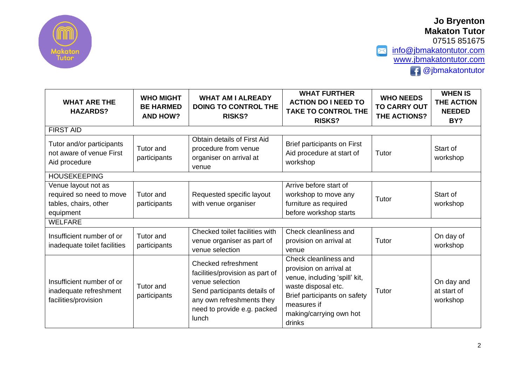

07515 851675 X [info@jbmakatontutor.com](mailto:info@jbmakatontutor.com) [www.jbmakatontutor.com](http://www.jbmakatontutor.com/) **f** @jbmakatontutor

| <b>WHAT ARE THE</b><br><b>HAZARDS?</b>                                                | <b>WHO MIGHT</b><br><b>BE HARMED</b><br><b>AND HOW?</b> | <b>WHAT AM I ALREADY</b><br><b>DOING TO CONTROL THE</b><br><b>RISKS?</b>                                                                                                       | <b>WHAT FURTHER</b><br><b>ACTION DO I NEED TO</b><br><b>TAKE TO CONTROL THE</b><br><b>RISKS?</b>                                                                                             | <b>WHO NEEDS</b><br><b>TO CARRY OUT</b><br>THE ACTIONS? | <b>WHEN IS</b><br><b>THE ACTION</b><br><b>NEEDED</b><br>BY? |  |  |
|---------------------------------------------------------------------------------------|---------------------------------------------------------|--------------------------------------------------------------------------------------------------------------------------------------------------------------------------------|----------------------------------------------------------------------------------------------------------------------------------------------------------------------------------------------|---------------------------------------------------------|-------------------------------------------------------------|--|--|
| <b>FIRST AID</b>                                                                      |                                                         |                                                                                                                                                                                |                                                                                                                                                                                              |                                                         |                                                             |  |  |
| Tutor and/or participants<br>not aware of venue First<br>Aid procedure                | Tutor and<br>participants                               | Obtain details of First Aid<br>procedure from venue<br>organiser on arrival at<br>venue                                                                                        | Brief participants on First<br>Aid procedure at start of<br>workshop                                                                                                                         | Tutor                                                   | Start of<br>workshop                                        |  |  |
| <b>HOUSEKEEPING</b>                                                                   |                                                         |                                                                                                                                                                                |                                                                                                                                                                                              |                                                         |                                                             |  |  |
| Venue layout not as<br>required so need to move<br>tables, chairs, other<br>equipment | Tutor and<br>participants                               | Requested specific layout<br>with venue organiser                                                                                                                              | Arrive before start of<br>workshop to move any<br>furniture as required<br>before workshop starts                                                                                            | Tutor                                                   | Start of<br>workshop                                        |  |  |
| <b>WELFARE</b>                                                                        |                                                         |                                                                                                                                                                                |                                                                                                                                                                                              |                                                         |                                                             |  |  |
| Insufficient number of or<br>inadequate toilet facilities                             | <b>Tutor</b> and<br>participants                        | Checked toilet facilities with<br>venue organiser as part of<br>venue selection                                                                                                | Check cleanliness and<br>provision on arrival at<br>venue                                                                                                                                    | Tutor                                                   | On day of<br>workshop                                       |  |  |
| Insufficient number of or<br>inadequate refreshment<br>facilities/provision           | <b>Tutor</b> and<br>participants                        | Checked refreshment<br>facilities/provision as part of<br>venue selection<br>Send participants details of<br>any own refreshments they<br>need to provide e.g. packed<br>lunch | Check cleanliness and<br>provision on arrival at<br>venue, including 'spill' kit,<br>waste disposal etc.<br>Brief participants on safety<br>measures if<br>making/carrying own hot<br>drinks | Tutor                                                   | On day and<br>at start of<br>workshop                       |  |  |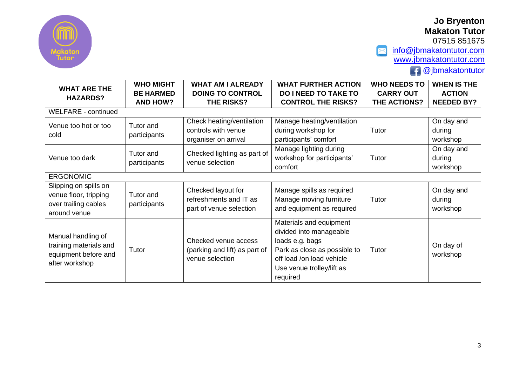

07515 851675

 $\blacktriangleright$ [info@jbmakatontutor.com](mailto:info@jbmakatontutor.com) [www.jbmakatontutor.com](http://www.jbmakatontutor.com/)

 $\overline{f}$  @jbmakatontutor

| <b>WHAT ARE THE</b>                                                                    | <b>WHO MIGHT</b>          | <b>WHAT AM I ALREADY</b>                                                 | <b>WHAT FURTHER ACTION</b>   | <b>WHO NEEDS TO</b> | <b>WHEN IS THE</b>    |  |  |
|----------------------------------------------------------------------------------------|---------------------------|--------------------------------------------------------------------------|------------------------------|---------------------|-----------------------|--|--|
| <b>HAZARDS?</b>                                                                        | <b>BE HARMED</b>          | <b>DOING TO CONTROL</b>                                                  | <b>DO I NEED TO TAKE TO</b>  | <b>CARRY OUT</b>    | <b>ACTION</b>         |  |  |
|                                                                                        | <b>AND HOW?</b>           | THE RISKS?                                                               | <b>CONTROL THE RISKS?</b>    | <b>THE ACTIONS?</b> | <b>NEEDED BY?</b>     |  |  |
| <b>WELFARE - continued</b>                                                             |                           |                                                                          |                              |                     |                       |  |  |
|                                                                                        | Tutor and                 | Check heating/ventilation                                                | Manage heating/ventilation   |                     | On day and            |  |  |
| Venue too hot or too<br>cold                                                           |                           | controls with venue                                                      | during workshop for          | Tutor               | during                |  |  |
|                                                                                        | participants              | organiser on arrival                                                     | participants' comfort        |                     | workshop              |  |  |
|                                                                                        | Tutor and<br>participants | Checked lighting as part of                                              | Manage lighting during       |                     | On day and            |  |  |
| Venue too dark                                                                         |                           | venue selection                                                          | workshop for participants'   | Tutor               | during                |  |  |
|                                                                                        |                           |                                                                          | comfort                      |                     | workshop              |  |  |
| <b>ERGONOMIC</b>                                                                       |                           |                                                                          |                              |                     |                       |  |  |
| Slipping on spills on                                                                  |                           | Checked layout for                                                       | Manage spills as required    |                     | On day and            |  |  |
| venue floor, tripping                                                                  | Tutor and                 | refreshments and IT as                                                   | Manage moving furniture      | Tutor               | during                |  |  |
| over trailing cables                                                                   | participants              | part of venue selection                                                  | and equipment as required    |                     | workshop              |  |  |
| around venue                                                                           |                           |                                                                          |                              |                     |                       |  |  |
| Manual handling of<br>training materials and<br>equipment before and<br>after workshop | Tutor                     |                                                                          | Materials and equipment      |                     |                       |  |  |
|                                                                                        |                           |                                                                          | divided into manageable      |                     |                       |  |  |
|                                                                                        |                           | Checked venue access<br>(parking and lift) as part of<br>venue selection | loads e.g. bags              |                     | On day of<br>workshop |  |  |
|                                                                                        |                           |                                                                          | Park as close as possible to | Tutor               |                       |  |  |
|                                                                                        |                           |                                                                          | off load /on load vehicle    |                     |                       |  |  |
|                                                                                        |                           |                                                                          | Use venue trolley/lift as    |                     |                       |  |  |
|                                                                                        |                           |                                                                          | required                     |                     |                       |  |  |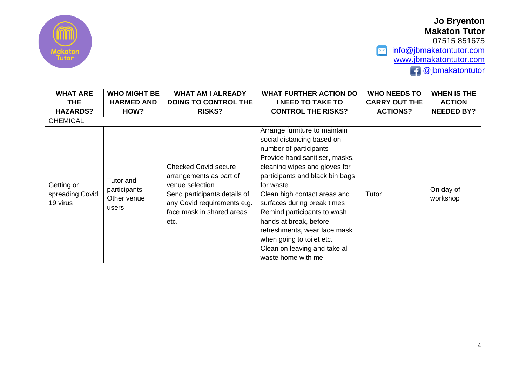

**Jo Bryenton Makaton Tutor** 07515 851675 [info@jbmakatontutor.com](mailto:info@jbmakatontutor.com)

 $\bigoplus$  @jbmakatontutor

[www.jbmakatontutor.com](http://www.jbmakatontutor.com/)

 $\triangleright$ 

| <b>WHAT ARE</b>                           | <b>WHO MIGHT BE</b>                               | <b>WHAT AM I ALREADY</b>                                                                                                                                                      | <b>WHAT FURTHER ACTION DO</b>                                                                                                                                                                                                                                                                                                                                                                                                                        | <b>WHO NEEDS TO</b>  | <b>WHEN IS THE</b>    |
|-------------------------------------------|---------------------------------------------------|-------------------------------------------------------------------------------------------------------------------------------------------------------------------------------|------------------------------------------------------------------------------------------------------------------------------------------------------------------------------------------------------------------------------------------------------------------------------------------------------------------------------------------------------------------------------------------------------------------------------------------------------|----------------------|-----------------------|
| <b>THE</b>                                | <b>HARMED AND</b>                                 | <b>DOING TO CONTROL THE</b>                                                                                                                                                   | <b>I NEED TO TAKE TO</b>                                                                                                                                                                                                                                                                                                                                                                                                                             | <b>CARRY OUT THE</b> | <b>ACTION</b>         |
| <b>HAZARDS?</b>                           | HOW?                                              | <b>RISKS?</b>                                                                                                                                                                 | <b>CONTROL THE RISKS?</b>                                                                                                                                                                                                                                                                                                                                                                                                                            | <b>ACTIONS?</b>      | <b>NEEDED BY?</b>     |
| <b>CHEMICAL</b>                           |                                                   |                                                                                                                                                                               |                                                                                                                                                                                                                                                                                                                                                                                                                                                      |                      |                       |
| Getting or<br>spreading Covid<br>19 virus | Tutor and<br>participants<br>Other venue<br>users | <b>Checked Covid secure</b><br>arrangements as part of<br>venue selection<br>Send participants details of<br>any Covid requirements e.g.<br>face mask in shared areas<br>etc. | Arrange furniture to maintain<br>social distancing based on<br>number of participants<br>Provide hand sanitiser, masks,<br>cleaning wipes and gloves for<br>participants and black bin bags<br>for waste<br>Clean high contact areas and<br>surfaces during break times<br>Remind participants to wash<br>hands at break, before<br>refreshments, wear face mask<br>when going to toilet etc.<br>Clean on leaving and take all<br>waste home with me | Tutor                | On day of<br>workshop |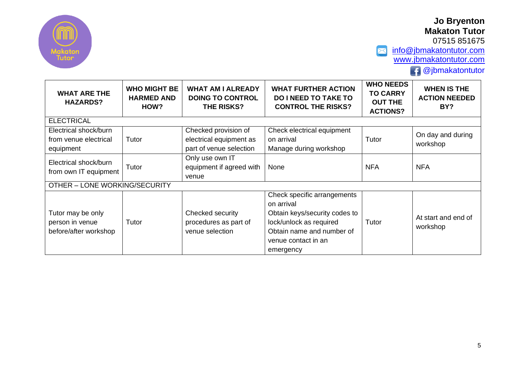

07515 851675

 $\triangleright$ [info@jbmakatontutor.com](mailto:info@jbmakatontutor.com) [www.jbmakatontutor.com](http://www.jbmakatontutor.com/)

 $\bigoplus$  @jbmakatontutor

| <b>WHAT ARE THE</b><br><b>HAZARDS?</b>                        | <b>WHO MIGHT BE</b><br><b>HARMED AND</b><br>HOW? | <b>WHAT AM I ALREADY</b><br><b>DOING TO CONTROL</b><br>THE RISKS?          | <b>WHAT FURTHER ACTION</b><br><b>DO I NEED TO TAKE TO</b><br><b>CONTROL THE RISKS?</b>                                                                                 | <b>WHO NEEDS</b><br><b>TO CARRY</b><br><b>OUT THE</b><br><b>ACTIONS?</b> | <b>WHEN IS THE</b><br><b>ACTION NEEDED</b><br>BY? |  |
|---------------------------------------------------------------|--------------------------------------------------|----------------------------------------------------------------------------|------------------------------------------------------------------------------------------------------------------------------------------------------------------------|--------------------------------------------------------------------------|---------------------------------------------------|--|
| <b>ELECTRICAL</b>                                             |                                                  |                                                                            |                                                                                                                                                                        |                                                                          |                                                   |  |
| Electrical shock/burn<br>from venue electrical<br>equipment   | Tutor                                            | Checked provision of<br>electrical equipment as<br>part of venue selection | Check electrical equipment<br>on arrival<br>Manage during workshop                                                                                                     | Tutor                                                                    | On day and during<br>workshop                     |  |
| Electrical shock/burn<br>from own IT equipment                | Tutor                                            | Only use own IT<br>equipment if agreed with<br>venue                       | None                                                                                                                                                                   | <b>NFA</b>                                                               | <b>NFA</b>                                        |  |
| OTHER - LONE WORKING/SECURITY                                 |                                                  |                                                                            |                                                                                                                                                                        |                                                                          |                                                   |  |
| Tutor may be only<br>person in venue<br>before/after workshop | Tutor                                            | Checked security<br>procedures as part of<br>venue selection               | Check specific arrangements<br>on arrival<br>Obtain keys/security codes to<br>lock/unlock as required<br>Obtain name and number of<br>venue contact in an<br>emergency | Tutor                                                                    | At start and end of<br>workshop                   |  |